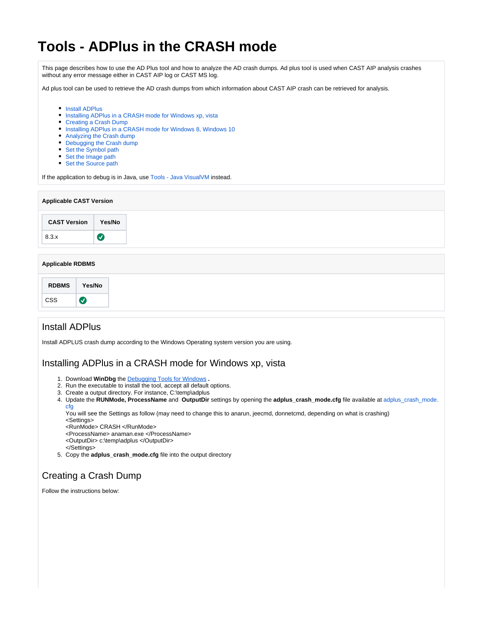# **Tools - ADPlus in the CRASH mode**

This page describes how to use the AD Plus tool and how to analyze the AD crash dumps. Ad plus tool is used when CAST AIP analysis crashes without any error message either in CAST AIP log or CAST MS log.

Ad plus tool can be used to retrieve the AD crash dumps from which information about CAST AIP crash can be retrieved for analysis.

- [Install ADPlus](#page-0-0)
- [Installing ADPlus in a CRASH mode for Windows xp, vista](#page-0-1)
- [Creating a Crash Dump](#page-0-2)
- [Installing ADPlus in a CRASH mode for Windows 8, Windows 10](#page-1-0)
- [Analyzing the Crash dump](#page-4-0)
- [Debugging the Crash dump](#page-5-0)
- [Set the Symbol path](#page-5-1)
- [Set the Image path](#page-5-2)
- [Set the Source path](#page-6-0)

If the application to debug is in Java, use [Tools - Java VisualVM](https://doc.castsoftware.com/display/TG/Tools+-+Java+VisualVM) instead.

| <b>Applicable CAST Version</b> |        |
|--------------------------------|--------|
| <b>CAST Version</b>            | Yes/No |
| 8.3.x                          | (V     |

#### **Applicable RDBMS**

## <span id="page-0-0"></span>Install ADPlus

Install ADPLUS crash dump according to the Windows Operating system version you are using.

### <span id="page-0-1"></span>Installing ADPlus in a CRASH mode for Windows xp, vista

- 1. Download **WinDbg** the [Debugging Tools for Windows](https://msdn.microsoft.com/en-in/library/windows/hardware/ff551063(v=vs.85).aspx) **.**
- 2. Run the executable to install the tool, accept all default options.
- 3. Create a output directory. For instance, C:\temp\adplus
- 4. Update the **RUNMode, ProcessName** and **OutputDir** settings by opening the **adplus\_crash\_mode.cfg** file available at [adplus\\_crash\\_mode.](https://doc.castsoftware.com/download/attachments/566526284/adplus_crash_mode.cfg?version=1&modificationDate=1644596444377&api=v2) [cfg](https://doc.castsoftware.com/download/attachments/566526284/adplus_crash_mode.cfg?version=1&modificationDate=1644596444377&api=v2)

You will see the Settings as follow (may need to change this to anarun, jeecmd, donnetcmd, depending on what is crashing) <Settings>

- <RunMode> CRASH </RunMode>
- <ProcessName> anaman.exe </ProcessName>
- <OutputDir> c:\temp\adplus </OutputDir>
- </Settings>
- 5. Copy the **adplus\_crash\_mode.cfg** file into the output directory

# <span id="page-0-2"></span>Creating a Crash Dump

Follow the instructions below: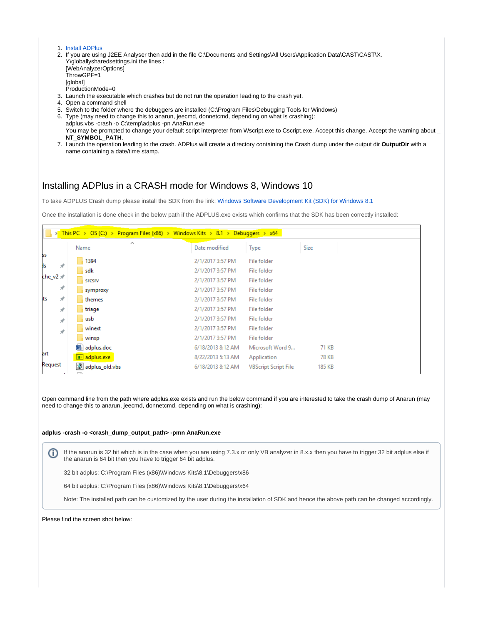#### 1. [Install ADPlus](#page-0-0)

- 2. If you are using J2EE Analyser then add in the file C:\Documents and Settings\All Users\Application Data\CAST\CAST\X. Y\globallysharedsettings.ini the lines : [WebAnalyzerOptions] ThrowGPF=1 **[global]** ProductionMode=0
- 3. Launch the executable which crashes but do not run the operation leading to the crash yet.
- 4. Open a command shell
- 5. Switch to the folder where the debuggers are installed (C:\Program Files\Debugging Tools for Windows)
- 6. Type (may need to change this to anarun, jeecmd, donnetcmd, depending on what is crashing): adplus.vbs -crash -o C:\temp\adplus -pn AnaRun.exe You may be prompted to change your default script interpreter from Wscript.exe to Cscript.exe. Accept this change. Accept the warning about **\_**
- **NT\_SYMBOL\_PATH**.
- 7. Launch the operation leading to the crash. ADPlus will create a directory containing the Crash dump under the output dir **OutputDir** with a name containing a date/time stamp.

## <span id="page-1-0"></span>Installing ADPlus in a CRASH mode for Windows 8, Windows 10

To take ADPLUS Crash dump please install the SDK from the link: [Windows Software Development Kit \(SDK\) for Windows 8.1](https://developer.microsoft.com/en-us/windows/downloads/windows-8-1-sdk)

Once the installation is done check in the below path if the ADPLUS.exe exists which confirms that the SDK has been correctly installed:

|                  |               |      |                     | > This PC > OS (C:) > Program Files (x86) > Windows Kits > 8.1 > Debuggers > x64 |                             |        |  |
|------------------|---------------|------|---------------------|----------------------------------------------------------------------------------|-----------------------------|--------|--|
|                  |               | Name | $\hat{\phantom{a}}$ | Date modified                                                                    | Type                        | Size   |  |
| SS               |               |      | 1394                | 2/1/2017 3:57 PM                                                                 | File folder                 |        |  |
| łs               |               |      | sdk                 | 2/1/2017 3:57 PM                                                                 | File folder                 |        |  |
| che v $2 \nless$ |               |      | <b>SFCSIV</b>       | 2/1/2017 3:57 PM                                                                 | File folder                 |        |  |
|                  | ×             |      | symproxy            | 2/1/2017 3:57 PM                                                                 | File folder                 |        |  |
| ts               | À             |      | themes              | 2/1/2017 3:57 PM                                                                 | File folder                 |        |  |
|                  | À             |      | triage              | 2/1/2017 3:57 PM                                                                 | File folder                 |        |  |
|                  | $\mathcal{R}$ |      | usb                 | 2/1/2017 3:57 PM                                                                 | File folder                 |        |  |
|                  | À             |      | winext              | 2/1/2017 3:57 PM                                                                 | File folder                 |        |  |
|                  |               |      | winxp               | 2/1/2017 3:57 PM                                                                 | File folder                 |        |  |
|                  |               |      | adplus.doc          | 6/18/2013 8:12 AM                                                                | Microsoft Word 9            | 71 KB  |  |
| art              |               |      | adplus.exe          | 8/22/2013 5:13 AM                                                                | Application                 | 78 KB  |  |
| Request          |               |      | 8 adplus_old.vbs    | 6/18/2013 8:12 AM                                                                | <b>VBScript Script File</b> | 185 KB |  |

Open command line from the path where adplus.exe exists and run the below command if you are interested to take the crash dump of Anarun (may need to change this to anarun, jeecmd, donnetcmd, depending on what is crashing):

#### **adplus -crash -o <crash\_dump\_output\_path> -pmn AnaRun.exe**

If the anarun is 32 bit which is in the case when you are using 7.3.x or only VB analyzer in 8.x.x then you have to trigger 32 bit adplus else if (i) the anarun is 64 bit then you have to trigger 64 bit adplus.

32 bit adplus: C:\Program Files (x86)\Windows Kits\8.1\Debuggers\x86

64 bit adplus: C:\Program Files (x86)\Windows Kits\8.1\Debuggers\x64

Note: The installed path can be customized by the user during the installation of SDK and hence the above path can be changed accordingly.

Please find the screen shot below: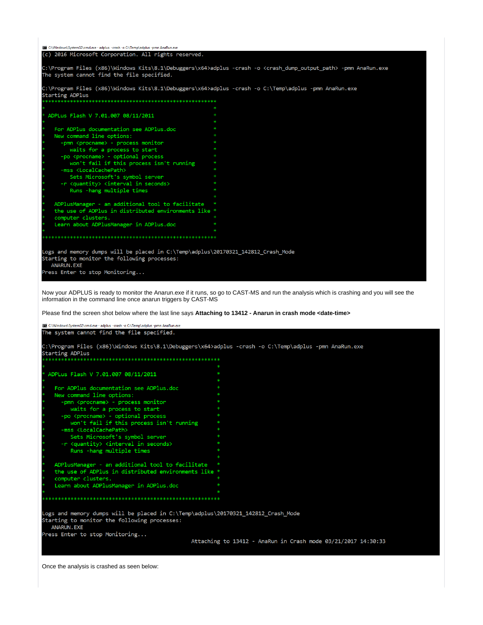| C:\Windows\System32\cmd.exe - adplus -crash -o C:\Temp\adplus -pmn AnaRun.exe                                                                           |                                                                                                                                             |
|---------------------------------------------------------------------------------------------------------------------------------------------------------|---------------------------------------------------------------------------------------------------------------------------------------------|
| (c) 2016 Microsoft Corporation. All rights reserved.                                                                                                    |                                                                                                                                             |
| The system cannot find the file specified.                                                                                                              | C:\Program Files (x86)\Windows Kits\8.1\Debuggers\x64>adplus -crash -o <crash_dump_output_path> -pmn AnaRun.exe</crash_dump_output_path>    |
| C:\Program Files (x86)\Windows Kits\8.1\Debuggers\x64>adplus -crash -o C:\Temp\adplus -pmn AnaRun.exe<br>Starting ADPlus                                |                                                                                                                                             |
|                                                                                                                                                         |                                                                                                                                             |
| ADPLus Flash V 7.01.007 08/11/2011                                                                                                                      |                                                                                                                                             |
| For ADPlus documentation see ADPlus.doc                                                                                                                 |                                                                                                                                             |
| New command line options:                                                                                                                               |                                                                                                                                             |
| -pmn <procname> - process monitor</procname>                                                                                                            |                                                                                                                                             |
| waits for a process to start                                                                                                                            |                                                                                                                                             |
| -po <procname> - optional process</procname>                                                                                                            |                                                                                                                                             |
| won't fail if this process isn't running                                                                                                                |                                                                                                                                             |
| -mss <localcachepath></localcachepath>                                                                                                                  |                                                                                                                                             |
| Sets Microsoft's symbol server                                                                                                                          |                                                                                                                                             |
| -r <quantity> <interval in="" seconds=""></interval></quantity>                                                                                         |                                                                                                                                             |
| Runs -hang multiple times                                                                                                                               |                                                                                                                                             |
|                                                                                                                                                         |                                                                                                                                             |
| ADPlusManager - an additional tool to facilitate                                                                                                        |                                                                                                                                             |
| the use of ADPlus in distributed environments like *                                                                                                    |                                                                                                                                             |
| computer clusters.                                                                                                                                      |                                                                                                                                             |
| Learn about ADPlusManager in ADPlus.doc                                                                                                                 |                                                                                                                                             |
|                                                                                                                                                         |                                                                                                                                             |
| Logs and memory dumps will be placed in C:\Temp\adplus\20170321_142812_Crash_Mode<br>Starting to monitor the following processes:<br><b>ANARUN, EXE</b> |                                                                                                                                             |
| Press Enter to stop Monitoring                                                                                                                          |                                                                                                                                             |
| information in the command line once anarun triggers by CAST-MS                                                                                         | Now your ADPLUS is ready to monitor the Anarun.exe if it runs, so go to CAST-MS and run the analysis which is crashing and you will see the |
| Please find the screen shot below where the last line says Attaching to 13412 - Anarun in crash mode <date-time></date-time>                            |                                                                                                                                             |
| C:\Windows\System32\cmd.exe - adplus -crash -o C:\Temp\adplus -pmn AnaRun.exe                                                                           |                                                                                                                                             |
| The system cannot find the file specified.                                                                                                              |                                                                                                                                             |
| C:\Program Files (x86)\Windows Kits\8.1\Debuggers\x64>adplus -crash -o C:\Temp\adplus -pmn AnaRun.exe<br><b>Starting ADPlus</b>                         |                                                                                                                                             |
|                                                                                                                                                         |                                                                                                                                             |
|                                                                                                                                                         |                                                                                                                                             |
| ADPLus Flash V 7.01.007 08/11/2011                                                                                                                      |                                                                                                                                             |
|                                                                                                                                                         |                                                                                                                                             |
| For ADPlus documentation see ADPlus.doc                                                                                                                 |                                                                                                                                             |
| command line options:                                                                                                                                   |                                                                                                                                             |
| -pmn <procname> - process monitor</procname>                                                                                                            |                                                                                                                                             |
| waits for a process to start                                                                                                                            |                                                                                                                                             |
| -po <procname> - optional process</procname>                                                                                                            |                                                                                                                                             |
| won't fail if this process isn't running                                                                                                                |                                                                                                                                             |
| -mss <localcachepath><br/>Sets Microsoft's symbol server</localcachepath>                                                                               |                                                                                                                                             |
| -r <quantity> <interval in="" seconds=""></interval></quantity>                                                                                         |                                                                                                                                             |
| Runs - hang multiple times                                                                                                                              |                                                                                                                                             |
|                                                                                                                                                         |                                                                                                                                             |

ADPlusManager - an additional tool to facilitate \* the use of ADPlus in distributed environments like \*<br>computer clusters.<br>Learn about ADPlusManager in ADPlus.doc \*\*

Logs and memory dumps will be placed in C:\Temp\adplus\20170321\_142812\_Crash\_Mode<br>Starting to monitor the following processes: ANARUN.EXE Press Enter to stop Monitoring...

Attaching to 13412 - AnaRun in Crash mode 03/21/2017 14:30:33

Once the analysis is crashed as seen below: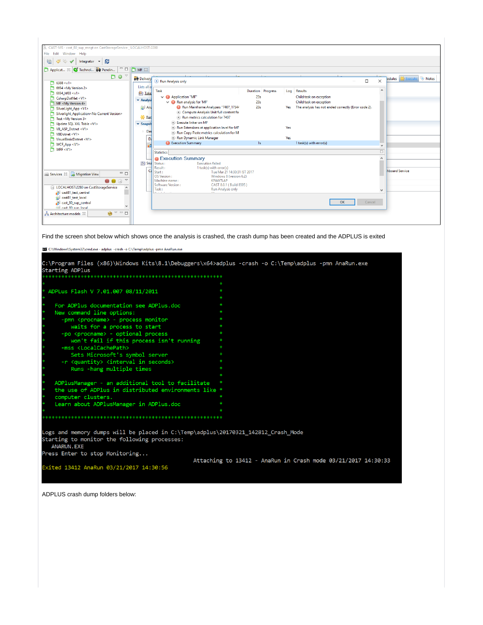| CAST-MS - cast_80_sup_mngt on CastStorageService _ LOCALHOST:2280                            |                                                                                                                         |                    |                                      |
|----------------------------------------------------------------------------------------------|-------------------------------------------------------------------------------------------------------------------------|--------------------|--------------------------------------|
| File Edit Window Help                                                                        |                                                                                                                         |                    |                                      |
| G<br>R.<br>Integrator<br>$\rightarrow$                                                       |                                                                                                                         |                    |                                      |
| $\overline{\phantom{a}}$ $\overline{\phantom{a}}$<br>Applicat 23 G Technol <b>319</b> Pendin | $MF \otimes$                                                                                                            |                    |                                      |
| $D O^{\vee}$                                                                                 | <b>od</b> Delivery                                                                                                      |                    | odules <b>&amp;</b> Execute<br>Notes |
| 16388 < v1>                                                                                  | Run Analysis only                                                                                                       | $\Box$<br>$\times$ |                                      |
| $-16694$ < My Version 2>                                                                     | Lists all of                                                                                                            |                    |                                      |
| 6694 h f 03 < v 1                                                                            | Task<br><b>Duration</b> Progress<br><b>Results</b><br>Log<br><b>All Take</b>                                            | $\wedge$           |                                      |
| CsharpDotNet <v1></v1>                                                                       | $\vee$ <sup>(1)</sup> Application "MF"<br>23s<br>Child task on exception<br>- Analysi                                   |                    |                                      |
| MF <my 4="" version=""></my>                                                                 | $\vee$ (a) Run analysis for 'MF'<br>23s<br>Child task on exception                                                      |                    |                                      |
| SilverLight App <v1></v1>                                                                    | $\Box$ Ana<br>Run Mainframe Analyzers "7407 17544<br>23s<br>The analysis has not ended correctly (Error code 2).<br>Yes |                    |                                      |
| Silverlight_Application <no current="" version=""></no>                                      | Compute Analysis Unit full content fo                                                                                   |                    |                                      |
| Test <my 3="" version=""></my>                                                               | <b>米 Run</b><br>Run metrics calculation for 7407                                                                        |                    |                                      |
| Update SQL XXL Table <v1></v1>                                                               | Execute linker on MF<br>$\blacktriangleright$ Snapsh                                                                    |                    |                                      |
| VB ASP Dotnet <v1></v1>                                                                      | Run Extensions at application level for MF<br>Yes<br>Das                                                                |                    |                                      |
| VBDotnet <v1></v1>                                                                           | Run Copy Paste metrics calculation for M<br>Yes                                                                         |                    |                                      |
| VisualBasicDotnet <v1></v1>                                                                  | Run Dynamic Link Manager<br>Da<br><b>D</b> Execution Summary<br>1 task(s) with error(s)<br>1s                           |                    |                                      |
| WCF App <v1></v1>                                                                            | ø                                                                                                                       | $\checkmark$       |                                      |
| WPF < V1                                                                                     | <b>Statistics</b>                                                                                                       | $\Box$             |                                      |
|                                                                                              | <b>O</b> Execution Summary                                                                                              | $\wedge$           |                                      |
|                                                                                              | <b>The Sna</b> Status:<br><b>Execution failed</b>                                                                       |                    |                                      |
|                                                                                              | Result:<br>1 task(s) with error(s)                                                                                      |                    |                                      |
| $ \Box$<br>Services & <b>B</b> Migration View                                                | Ca<br>Start:<br>Tue Mar 21 14:30:31 IST 2017                                                                            |                    | hboard Service                       |
| $\bigtriangledown$                                                                           | OS Version:<br>Windows 8 (version 6.2)<br>Machine name:<br>KPAW7I AP                                                    |                    |                                      |
| <b>. .</b> .                                                                                 | Software Version:<br>CAST 8.0.1 (Build 8595)                                                                            |                    |                                      |
| LOCALHOST:2280 on CastStorageService                                                         | Task:<br>Run Analysis only                                                                                              | $\checkmark$       |                                      |
| cast81_test_central                                                                          | .                                                                                                                       |                    |                                      |
| cast81_test_local                                                                            |                                                                                                                         |                    |                                      |
| cast 80 sup central                                                                          | <b>OK</b>                                                                                                               | Cancel             |                                      |
| Ell cast 80 sun local                                                                        |                                                                                                                         |                    |                                      |
| $\bigcirc$ $\vee$ $\Box$<br>Architecture models 23                                           |                                                                                                                         |                    |                                      |
|                                                                                              |                                                                                                                         |                    |                                      |

Find the screen shot below which shows once the analysis is crashed, the crash dump has been created and the ADPLUS is exited

| <b>C:\Windows\System32\cmd.exe - adplus -crash -o C:\Temp\adplus -pmn AnaRun.exe</b> |                                                                                                       |
|--------------------------------------------------------------------------------------|-------------------------------------------------------------------------------------------------------|
|                                                                                      |                                                                                                       |
|                                                                                      | C:\Program Files (x86)\Windows Kits\8.1\Debuggers\x64>adplus -crash -o C:\Temp\adplus -pmn AnaRun.exe |
| <b>Starting ADPlus</b>                                                               |                                                                                                       |
|                                                                                      |                                                                                                       |
|                                                                                      |                                                                                                       |
| ADPLus Flash V 7.01.007 08/11/2011                                                   | sk.                                                                                                   |
|                                                                                      |                                                                                                       |
| For ADPlus documentation see ADPlus.doc                                              |                                                                                                       |
| New command line options:                                                            |                                                                                                       |
| -pmn <procname> - process monitor</procname>                                         | $\ast$                                                                                                |
| waits for a process to start                                                         | $\ast$                                                                                                |
| -po <procname> - optional process</procname>                                         | sk.                                                                                                   |
| won't fail if this process isn't running                                             |                                                                                                       |
| -mss <localcachepath></localcachepath>                                               | $\ast$                                                                                                |
| Sets Microsoft's symbol server                                                       | $\ast$                                                                                                |
| -r <quantity> <interval in="" seconds=""></interval></quantity>                      |                                                                                                       |
| Runs -hang multiple times                                                            |                                                                                                       |
|                                                                                      |                                                                                                       |
| ADPlusManager - an additional tool to facilitate                                     |                                                                                                       |
| the use of ADPlus in distributed environments like *                                 |                                                                                                       |
| computer clusters.                                                                   |                                                                                                       |
| Learn about ADPlusManager in ADPlus.doc                                              |                                                                                                       |
|                                                                                      |                                                                                                       |
|                                                                                      |                                                                                                       |
|                                                                                      |                                                                                                       |
| Logs and memory dumps will be placed in C:\Temp\adplus\20170321 142812 Crash Mode    |                                                                                                       |
| Starting to monitor the following processes:<br><b>ANARUN, EXE</b>                   |                                                                                                       |
| Press Enter to stop Monitoring                                                       |                                                                                                       |
|                                                                                      | Attaching to 13412 - AnaRun in Crash mode 03/21/2017 14:30:33                                         |
| Exited 13412 AnaRun 03/21/2017 14:30:56                                              |                                                                                                       |
|                                                                                      |                                                                                                       |
|                                                                                      |                                                                                                       |

ADPLUS crash dump folders below: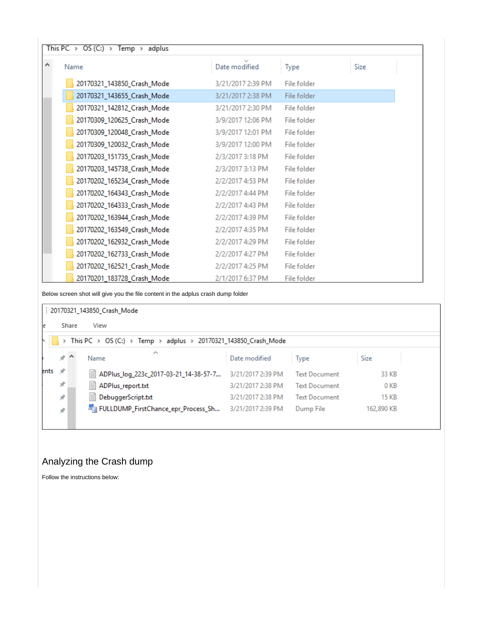| This PC > OS (C:) > Temp > adplus |                   |             |      |
|-----------------------------------|-------------------|-------------|------|
| Name                              | Date modified     | Type        | Size |
| 20170321_143850_Crash_Mode        | 3/21/2017 2:39 PM | File folder |      |
| 20170321_143655_Crash_Mode        | 3/21/2017 2:38 PM | File folder |      |
| 20170321_142812_Crash_Mode        | 3/21/2017 2:30 PM | File folder |      |
| 20170309_120625_Crash_Mode        | 3/9/2017 12:06 PM | File folder |      |
| 20170309_120048_Crash_Mode        | 3/9/2017 12:01 PM | File folder |      |
| 20170309_120032_Crash_Mode        | 3/9/2017 12:00 PM | File folder |      |
| 20170203_151735_Crash_Mode        | 2/3/2017 3:18 PM  | File folder |      |
| 20170203_145738_Crash_Mode        | 2/3/2017 3:13 PM  | File folder |      |
| 20170202_165234_Crash_Mode        | 2/2/2017 4:53 PM  | File folder |      |
| 20170202_164343_Crash_Mode        | 2/2/2017 4:44 PM  | File folder |      |
| 20170202_164333_Crash_Mode        | 2/2/2017 4:43 PM  | File folder |      |
| 20170202_163944_Crash_Mode        | 2/2/2017 4:39 PM  | File folder |      |
| 20170202_163549_Crash_Mode        | 2/2/2017 4:35 PM  | File folder |      |
| 20170202_162932_Crash_Mode        | 2/2/2017 4:29 PM  | File folder |      |
| 20170202_162733_Crash_Mode        | 2/2/2017 4:27 PM  | File folder |      |
| 20170202_162521_Crash_Mode        | 2/2/2017 4:25 PM  | File folder |      |
| 20170201_183728_Crash_Mode        | 2/1/2017 6:37 PM  | File folder |      |

Below screen shot will give you the file content in the adplus crash dump folder

# | 20170321\_143850\_Crash\_Mode

Share View

e

# $\begin{array}{|l|l|}\hline \end{array}$  > This PC > OS (C:) > Temp > adplus > 20170321\_143850\_Crash\_Mode

|      | ォハ            | ∼<br>Name                                                 | Date modified     | <b>Type</b>          | Size       |
|------|---------------|-----------------------------------------------------------|-------------------|----------------------|------------|
| ents | $\mathcal{R}$ | ■ ADPlus_log_223c_2017-03-21_14-38-57-7 3/21/2017 2:39 PM |                   | <b>Text Document</b> | 33 KB      |
|      | ×.            | ■ ADPlus_report.txt                                       | 3/21/2017 2:38 PM | <b>Text Document</b> | 0 KB       |
|      | ×.            | DebuggerScript.txt                                        | 3/21/2017 2:38 PM | <b>Text Document</b> | 15 KB      |
|      | $\mathcal{R}$ | FullDUMP_FirstChance_epr_Process_Sh                       | 3/21/2017 2:39 PM | Dump File            | 162,890 KB |
|      |               |                                                           |                   |                      |            |

# <span id="page-4-0"></span>Analyzing the Crash dump

Follow the instructions below: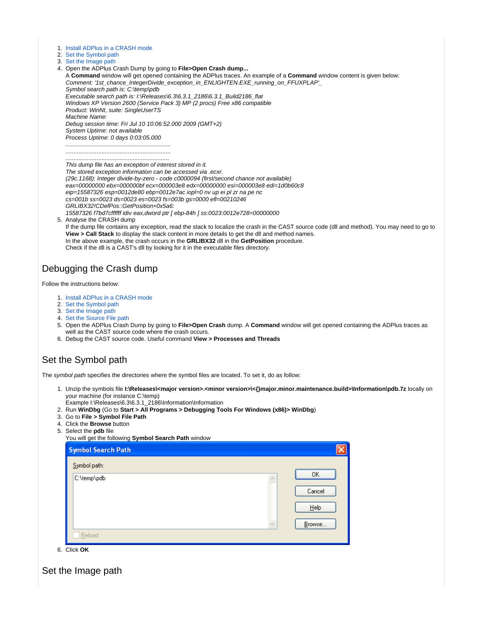| 1. Install ADPlus in a CRASH mode |  |  |  |  |  |  |
|-----------------------------------|--|--|--|--|--|--|
|-----------------------------------|--|--|--|--|--|--|

- 2. [Set the Symbol path](#page-5-1)
- 3. [Set the Image path](#page-5-2)
- 4. Open the ADPlus Crash Dump by going to **File>Open Crash dump...**

A **Command** window will get opened containing the ADPlus traces. An example of a **Command** window content is given below: Comment: '1st\_chance\_IntegerDivide\_exception\_in\_ENLIGHTEN.EXE\_running\_on\_FFUXPLAP'\_ Symbol search path is: C:\temp\pdb

Executable search path is: I:\Releases\6.3\6.3.1\_2186\6.3.1\_Build2186\_flat Windows XP Version 2600 (Service Pack 3) MP (2 procs) Free x86 compatible Product: WinNt, suite: SingleUserTS

Machine Name:

Debug session time: Fri Jul 10 10:06:52.000 2009 (GMT+2) System Uptime: not available

Process Uptime: 0 days 0:03:05.000 ................................................................ ................................................................

...............................................................

This dump file has an exception of interest stored in it. The stored exception information can be accessed via .ecxr. (29c.1168): Integer divide-by-zero - code c0000094 (first/second chance not available) eax=00000000 ebx=000000bf ecx=000003e8 edx=00000000 esi=000003e8 edi=1d0b60c8 eip=15587326 esp=0012de80 ebp=0012e7ac iopl=0 nv up ei pl zr na pe nc cs=001b ss=0023 ds=0023 es=0023 fs=003b gs=0000 efl=00210246 GRLIBX32!CDefPos::GetPosition+0x5a6: 15587326 f7bd7cffffff idiv eax,dword ptr [ ebp-84h ] ss:0023:0012e728=00000000

5. Analyse the CRASH dump

If the dump file contains any exception, read the stack to localize the crash in the CAST source code (dll and method). You may need to go to **View > Call Stack** to display the stack content in more details to get the dll and method names. In the above example, the crash occurs in the **GRLIBX32** dll in the **GetPosition** procedure. Check if the dll is a CAST's dll by looking for it in the executable files directory.

# <span id="page-5-0"></span>Debugging the Crash dump

Follow the instructions below:

- 1. [Install ADPlus in a CRASH mode](#page-0-0)
- 2. [Set the Symbol path](#page-5-1)
- 3. [Set the Image path](#page-5-2)
- 4. [Set the Source File path](#page-6-0)
- 5. Open the ADPlus Crash Dump by going to **File>Open Crash** dump. A **Command** window will get opened containing the ADPlus traces as well as the CAST source code where the crash occurs.
- 6. Debug the CAST source code. Useful command **View > Processes and Threads**

# <span id="page-5-1"></span>Set the Symbol path

The symbol path specifies the directories where the symbol files are located. To set it, do as follow:

- 1. Unzip the symbols file **I:\Releases\<major version>.<minor version>\<{}major.minor.maintenance.build>\Information\pdb.7z** locally on your machine (for instance C:\temp)
- Example I:\Releases\6.3\6.3.1\_2186\Information\Information
- 2. Run **WinDbg** (Go to **Start > All Programs > Debugging Tools For Windows (x86)> WinDbg**)
- 3. Go to **File > Symbol File Path**
- 4. Click the **Browse** button
- 5. Select the **pdb** file

| <b>OUIDDLATO PUM IND</b><br>You will get the following Symbol Search Path window |        |
|----------------------------------------------------------------------------------|--------|
| <b>Symbol Search Path</b>                                                        |        |
| Symbol path:                                                                     |        |
| C:\temp\pdb                                                                      | OΚ     |
|                                                                                  | Cancel |
|                                                                                  | He     |
|                                                                                  | Browse |
| Reload                                                                           |        |

6. Click **OK**

<span id="page-5-2"></span>Set the Image path